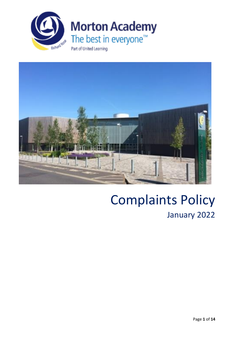



# Complaints Policy January 2022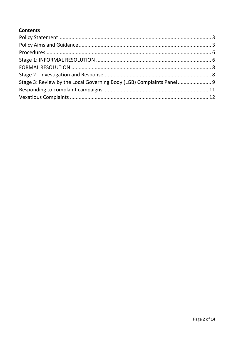# **Contents**

| Stage 3: Review by the Local Governing Body (LGB) Complaints Panel9 |  |
|---------------------------------------------------------------------|--|
|                                                                     |  |
|                                                                     |  |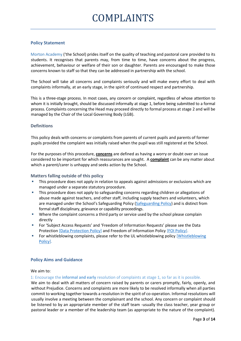# <span id="page-2-0"></span>**Policy Statement**

Morton Academy ('the School) prides itself on the quality of teaching and pastoral care provided to its students. It recognises that parents may, from time to time, have concerns about the progress, achievement, behaviour or welfare of their son or daughter. Parents are encouraged to make those concerns known to staff so that they can be addressed in partnership with the school.

The School will take all concerns and complaints seriously and will make every effort to deal with complaints informally, at an early stage, in the spirit of continued respect and partnership.

This is a three-stage process. In most cases, any concern or complaint, regardless of whose attention to whom it is initially brought, should be discussed informally at stage 1, before being submitted to a formal process. Complaints concerning the Head may proceed directly to formal process at stage 2 and will be managed by the Chair of the Local Governing Body (LGB).

#### **Definitions**

This policy deals with concerns or complaints from parents of current pupils and parents of former pupils provided the complaint was initially raised when the pupil was still registered at the School.

For the purposes of this procedure, **concerns** are defined as having a worry or doubt over an issue considered to be important for which reassurances are sought. A **complaint** can be any matter about which a parent/carer is unhappy and seeks action by the School.

#### **Matters falling outside of this policy**

- This procedure does not apply in relation to appeals against admissions or exclusions which are managed under a separate statutory procedure.
- This procedure does not apply to safeguarding concerns regarding children or allegations of abuse made against teachers, and other staff, including supply teachers and volunteers, which are managed under the School's Safeguarding Policy ([Safeguarding Policy\)](https://www.rrma.org.uk/portals/0/downloads/pdfs/information/policies/Safeguarding%20Policy%202021-22.pdf) and is distinct from formal staff disciplinary, grievance or capability proceedings.
- **EXEDENT Where the complaint concerns a third party or service used by the school please complain** directly
- For 'Subject Access Requests' and 'Freedom of Information Requests' please see the Data Protection [\[Data Protection](https://www.rrma.org.uk/portals/0/downloads/pdfs/information/policies/Data%20Protection%20Policy%20-%20United%20Learning.pdf) Policy] and Freedom of Information Policy [\[FOI Policy\]](https://www.rrma.org.uk/portals/0/downloads/pdfs/information/policies/Freedom%20of%20Information%20Procedure.pdf).
- For whistleblowing complaints, please refer to the UL whistleblowing policy [Whistleblowing [Policy\]](https://www.rrma.org.uk/portals/0/downloads/pdfs/information/policies/Whistleblowing%20Policy%20-%20United%20Learning.pdf).

## <span id="page-2-1"></span>**Policy Aims and Guidance**

We aim to:

1: Encourage the **informal and early** resolution of complaints at stage 1, so far as it is possible.

We aim to deal with all matters of concern raised by parents or carers promptly, fairly, openly, and without Prejudice. Concerns and complaints are more likely to be resolved informally when all parties commit to working together towards a resolution in the spirit of co-operation. Informal resolutions will usually involve a meeting between the complainant and the school. Any concern or complaint should be listened to by an appropriate member of the staff team -usually the class teacher, year group or pastoral leader or a member of the leadership team (as appropriate to the nature of the complaint).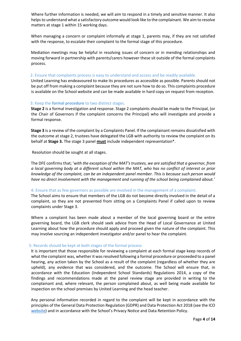Where further information is needed, we will aim to respond in a timely and sensitive manner. It also helps to understand what a satisfactory outcome would look like to the complainant. We aim to resolve matters at stage 1 within 15 working days.

When managing a concern or complaint informally at stage 1, parents may, if they are not satisfied with the response, to escalate their complaint to the formal stage of this procedure.

Mediation meetings may be helpful in resolving issues of concern or in mending relationships and moving forward in partnership with parents/carers however these sit outside of the formal complaints process.

#### 2: Ensure that complaints process is easy to understand and access and be readily available.

United Learning has endeavoured to make its procedures as accessible as possible. Parents should not be put off from making a complaint because they are not sure how to do so. This complaints procedure is available on the School website and can be made available in hard copy on request from reception.

#### 3: Keep the **formal procedure** to two distinct stages.

**Stage 2** is a formal investigation and response. Stage 2 complaints should be made to the Principal, (or the Chair of Governors if the complaint concerns the Principal) who will investigate and provide a formal response.

**Stage 3** is a review of the complaint by a Complaints Panel. If the complainant remains dissatisfied with the outcome at stage 2, trustees have delegated the LGB with authority to review the complaint on its behalf at **Stage 3.** The stage 3 panel **must** include independent representation\*.

Resolution should be sought at all stages.

The DFE confirms that; '*with the exception of the MAT's trustees, we are satisfied that a governor, from a local governing body at a different school within the MAT, who has no conflict of interest or prior knowledge of the complaint, can be an independent panel member. This is because such person would have no direct involvement with the management and running of the school being complained about.'* 

#### 4: Ensure that as few governors as possible are involved in the management of a complaint.

The School aims to ensure that members of the LGB do not become directly involved in the detail of a complaint, so they are not prevented from sitting on a Complaints Panel if called upon to review complaints under Stage 3.

Where a complaint has been made about a member of the local governing board or the entire governing board, the LGB clerk should seek advice from the Head of Local Governance at United Learning about how the procedure should apply and proceed given the nature of the complaint. This may involve sourcing an independent investigator and/or panel to hear the complaint.

#### 5: Records should be kept at both stages of the formal process

It is important that those responsible for reviewing a complaint at each formal stage keep records of what the complaint was, whether it was resolved following a formal procedure or proceeded to a panel hearing, any action taken by the School as a result of the complaint (regardless of whether they are upheld), any evidence that was considered, and the outcome. The School will ensure that, in accordance with the Education (Independent School Standards) Regulations 2014, a copy of the findings and recommendations made at the panel review stage are provided in writing to the complainant and, where relevant, the person complained about, as well being made available for inspection on the school premises by United Learning and the head teacher.

Any personal information recorded in regard to the complaint will be kept in accordance with the principles of the General Data Protection Regulation (GDPR) and Data Protection Act 2018 (see the ICO [website](https://ico.org.uk/for-organisations/guide-to-data-protection/guide-to-the-general-data-protection-regulation-gdpr/)) and in accordance with the School's Privacy Notice and Data Retention Policy.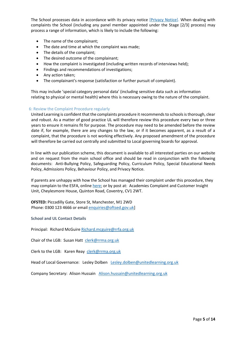The School processes data in accordance with its privacy notice [\[Privacy Notice\]](https://www.rrma.org.uk/terms). When dealing with complaints the School (including any panel member appointed under the Stage [2/3] process) may process a range of information, which is likely to include the following:

- The name of the complainant;
- The date and time at which the complaint was made;
- The details of the complaint;
- The desired outcome of the complainant;
- How the complaint is investigated (including written records of interviews held);
- Findings and recommendations of investigations;
- Any action taken;
- The complainant's response (satisfaction or further pursuit of complaint).

This may include 'special category personal data' (including sensitive data such as information relating to physical or mental health) where this is necessary owing to the nature of the complaint.

#### 6: Review the Complaint Procedure regularly

United Learning is confident that the complaints procedure it recommends to schools is thorough, clear and robust. As a matter of good practice UL will therefore review this procedure every two or three years to ensure it remains fit for purpose. The procedure may need to be amended before the review date if, for example, there are any changes to the law, or if it becomes apparent, as a result of a complaint, that the procedure is not working effectively. Any proposed amendment of the procedure will therefore be carried out centrally and submitted to Local governing boards for approval.

In line with our publication scheme, this document is available to all interested parties on our website and on request from the main school office and should be read in conjunction with the following documents: Anti-Bullying Policy, Safeguarding Policy, Curriculum Policy, Special Educational Needs Policy, Admissions Policy, Behaviour Policy, and Privacy Notice.

If parents are unhappy with how the School has managed their complaint under this procedure, they may complain to the ESFA, online [here;](file:///C:/Users/sarah.smith/AppData/Local/Microsoft/Windows/INetCache/Content.Outlook/QTJNK97Y/A%20confidential%20written%20record%20of%20all%20complaints%20that%20are%20made%20in%20accordance%20with%20the%20formal%20stage%20of%20this%20procedure%20will%20be%20kept%20by%20the%20school.%20The%20written%20record%20will%20include%20whether%20the%20complaint%20has%20been%20resolved%20following%20a%20formal%20procedure%20and%20whether%20it%20proceeded%20to%20a%20panel%20review%20meeting.%20It%20will%20also%20refer%20to%20any%20action%20taken%20by%20the%20school,%20regardless%20of%20whether%20it%20has%20been%20upheld.) or by post at: Academies Complaint and Customer Insight Unit, Cheylesmore House, Quinton Road, Coventry, CV1 2WT.

**OFSTED:** Piccadilly Gate, Store St, Manchester, M1 2WD Phone: 0300 123 4666 or email [enquiries@oftsed.gov.uk\]](mailto:enquiries@oftsed.gov.uk)

#### **School and UL Contact Details**

Principal: Richard McGuire [Richard.mcguire@rrfa.org.uk](mailto:Richard.mcguire@rrfa.org.uk)

Chair of the LGB: Susan Hatt [clerk@rrma.org.uk](mailto:clerk@rrma.org.uk)

Clerk to the LGB: Karen Reay [clerk@rrma.org.uk](mailto:clerk@rrma.org.uk)

Head of Local Governance: Lesley Dolben [Lesley.dolben@unitedlearning.org.](mailto:Lesley.dolben@unitedlearning.org)uk

Company Secretary: Alison Hussain [Alison.hussain@unitedlearning.org.uk](mailto:Alison.hussain@unitedlearning.org.uk)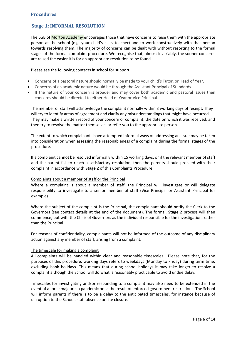# <span id="page-5-1"></span><span id="page-5-0"></span>**Stage 1: INFORMAL RESOLUTION**

The LGB of Morton Academy encourages those that have concerns to raise them with the appropriate person at the school (e.g. your child's class teacher) and to work constructively with that person towards resolving them. The majority of concerns can be dealt with without resorting to the formal stages of the formal complaint procedure. We recognise that, almost invariably, the sooner concerns are raised the easier it is for an appropriate resolution to be found.

Please see the following contacts in school for support:

- Concerns of a pastoral nature should normally be made to your child's Tutor, or Head of Year.
- Concerns of an academic nature would be through the Assistant Principal of Standards.
- If the nature of your concern is broader and may cover both academic and pastoral issues then concerns should be directed to either Head of Year or Vice Principal.

The member of staff will acknowledge the complaint normally within 3 working days of receipt. They will try to identify areas of agreement and clarify any misunderstandings that might have occurred. They may make a written record of your concern or complaint, the date on which it was received, and then try to resolve the matter themselves or refer you to the appropriate person.

The extent to which complainants have attempted informal ways of addressing an issue may be taken into consideration when assessing the reasonableness of a complaint during the formal stages of the procedure.

If a complaint cannot be resolved informally within 15 working days, or if the relevant member of staff and the parent fail to reach a satisfactory resolution, then the parents should proceed with their complaint in accordance with **Stage 2** of this Complaints Procedure.

#### Complaints about a member of staff or the Principal

Where a complaint is about a member of staff, the Principal will investigate or will delegate responsibility to investigate to a senior member of staff (Vice Principal or Assistant Principal for example).

Where the subject of the complaint is the Principal, the complainant should notify the Clerk to the Governors (see contact details at the end of the document). The formal, **Stage 2** process will then commence, but with the Chair of Governors as the individual responsible for the investigation, rather than the Principal.

For reasons of confidentiality, complainants will not be informed of the outcome of any disciplinary action against any member of staff, arising from a complaint.

#### The timescale for making a complaint

All complaints will be handled within clear and reasonable timescales. Please note that, for the purposes of this procedure, working days refers to weekdays (Monday to Friday) during term time, excluding bank holidays. This means that during school holidays it may take longer to resolve a complaint although the School will do what is reasonably practicable to avoid undue delay.

Timescales for investigating and/or responding to a complaint may also need to be extended in the event of a force majeure, a pandemic or as the result of enforced government restrictions. The School will inform parents if there is to be a delay to the anticipated timescales, for instance because of disruption to the School, staff absence or site closure.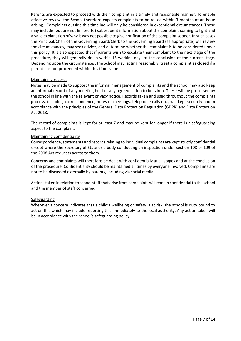Parents are expected to proceed with their complaint in a timely and reasonable manner. To enable effective review, the School therefore expects complaints to be raised within 3 months of an issue arising. Complaints outside this timeline will only be considered in exceptional circumstances. These may include (but are not limited to) subsequent information about the complaint coming to light and a valid explanation of why it was not possible to give notification of the complaint sooner. In such cases the Principal/Chair of the Governing Board/Clerk to the Governing Board (as appropriate) will review the circumstances, may seek advice, and determine whether the complaint is to be considered under this policy. It is also expected that if parents wish to escalate their complaint to the next stage of the procedure, they will generally do so within 15 working days of the conclusion of the current stage. Depending upon the circumstances, the School may, acting reasonably, treat a complaint as closed if a parent has not proceeded within this timeframe.

#### Maintaining records

Notes may be made to support the informal management of complaints and the school may also keep an informal record of any meeting held or any agreed action to be taken. These will be processed by the school in line with the relevant privacy notice. Records taken and used throughout the complaints process, including correspondence, notes of meetings, telephone calls etc., will kept securely and in accordance with the principles of the General Data Protection Regulation (GDPR) and Data Protection Act 2018.

The record of complaints is kept for at least 7 and may be kept for longer if there is a safeguarding aspect to the complaint.

#### Maintaining confidentiality

Correspondence, statements and records relating to individual complaints are kept strictly confidential except where the Secretary of State or a body conducting an inspection under section 108 or 109 of the 2008 Act requests access to them.

Concerns and complaints will therefore be dealt with confidentially at all stages and at the conclusion of the procedure. Confidentiality should be maintained all times by everyone involved. Complaints are not to be discussed externally by parents, including via social media.

Actions taken in relation to school staff that arise from complaints will remain confidential to the school and the member of staff concerned.

#### **Safeguarding**

Wherever a concern indicates that a child's wellbeing or safety is at risk, the school is duty bound to act on this which may include reporting this immediately to the local authority. Any action taken will be in accordance with the school's safeguarding policy.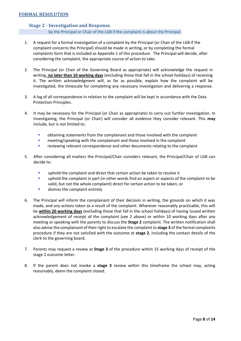#### <span id="page-7-1"></span><span id="page-7-0"></span> **Stage 2 - Investigation and Response.**

by the Principal or Chair of the LGB if the complaint is about the Principal.

- 1. A request for a formal investigation of a complaint by the Principal (or Chair of the LGB if the complaint concerns the Principal) should be made in writing, or by completing the formal complaints form that is included as Appendix 1 of this procedure. The Principal will decide, after considering the complaint, the appropriate course of action to take.
- 2. The Principal (or Chair of the Governing Board as appropriate) will acknowledge the request in writing, **no later than 10 working days** (excluding those that fall in the school holidays) of receiving it. The written acknowledgment will, as far as possible, explain how the complaint will be investigated, the timescale for completing any necessary investigation and delivering a response.
- 3. A log of all correspondence in relation to the complaint will be kept in accordance with the Data Protection Principles.
- 4. It may be necessary for the Principal (or Chair as appropriate) to carry out further investigation. In Investigating, the Principal (or Chair) will consider all evidence they consider relevant. This **may** include, but is not limited to:
	- **■** obtaining statements from the complainant and those involved with the complaint
	- meeting/speaking with the complainant and those involved in the complaint
	- reviewing relevant correspondence and other documents relating to the complaint
- 5. After considering all matters the Principal/Chair considers relevant, the Principal/Chair of LGB can decide to:
	- uphold the complaint and direct that certain action be taken to resolve it
	- **•** uphold the complaint in part (in other words find an aspect or aspects of the complaint to be valid, but not the whole complaint) direct for certain action to be taken, or
	- dismiss the complaint entirely
- 6. The Principal will inform the complainant of their decision in writing, the grounds on which it was made, and any actions taken as a result of the complaint. Wherever reasonably practicable, this will be **within 20 working days** (excluding those that fall in the school holidays) of having issued written acknowledgement of receipt of the complaint (see 2 above) or within 10 working days after any meeting or speaking with the parents to discuss the **Stage 2** complaint. The written notification shall also advise the complainant of their right to escalate the complaint to **stage 3** of the formal complaints procedure if they are not satisfied with the outcome at **stage 2**, including the contact details of the clerk to the governing board.
- 7. Parents may request a review at **Stage 3** of the procedure within 15 working days of receipt of the stage 2 outcome letter.
- 8. If the parent does not invoke a **stage 3** review within this timeframe the school may, acting reasonably, deem the complaint closed.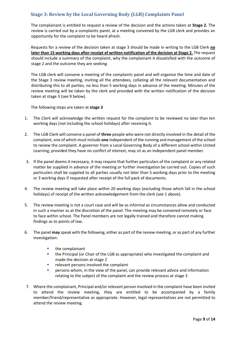# <span id="page-8-0"></span>**Stage 3: Review by the Local Governing Body (LGB) Complaints Panel**

The complainant is entitled to request a review of the decision and the actions taken at **Stage 2.** The review is carried out by a complaints panel, at a meeting convened by the LGB clerk and provides an opportunity for the complaint to be heard afresh.

Requests for a review of the decision taken at stage 3 should be made in writing to the LGB Clerk **no later than 15 working days after receipt of written notification of the decision at Stage 2.** The request should include a summary of the complaint, why the complainant it dissatisfied with the outcome of stage 2 and the outcome they are seeking.

The LGB clerk will convene a meeting of the complaints panel and will organise the time and date of the Stage 3 review meeting, inviting all the attendees, collating all the relevant documentation and distributing this to all parties, no less than 5 working days in advance of the meeting. Minutes of the review meeting will be taken by the clerk and provided with the written notification of the decision taken at stage 3 (see 9 below).

The following steps are taken at **stage 3**

- 1. The Clerk will acknowledge the written request for the complaint to be reviewed no later than ten working days (not including the school holidays) after receiving it.
- 2. The LGB Clerk will convene a panel of **three** people who were not directly involved in the detail of the complaint, one of which must include **one** independent of the running and management of the school to review the complaint. A governor from a Local Governing Body of a different school within United Learning, provided they have no conflict of interest, may sit as an independent panel member.
- 3. If the panel deems it necessary, it may require that further particulars of the complaint or any related matter be supplied in advance of the meeting or further investigation be carried out. Copies of such particulars shall be supplied to all parties usually not later than 5 working days prior to the meeting or 3 working days if requested after receipt of the full pack of documents.
- 4. The review meeting will take place within 20 working days (excluding those which fall in the school holidays) of receipt of the written acknowledgement from the clerk (see 1 above).
- 5. The review meeting is not a court case and will be as informal as circumstances allow and conducted in such a manner as at the discretion of the panel. The meeting may be convened remotely or face to face within school. The Panel members are not legally trained and therefore cannot making findings as to points of law.
- 6. The panel **may** speak with the following, either as part of the review meeting, or as part of any further investigation:
	- the complainant
	- **■** the Principal (or Chair of the LGB as appropriate) who investigated the complaint and made the decision at stage 2
	- relevant persons involved the complaint
	- **E** persons whom, in the view of the panel, can provide relevant advice and information relating to the subject of the complaint and the review process at stage 3
- 7. Where the complainant, Principal and/or relevant person involved in the complaint have been invited to attend the review meeting, they are entitled to be accompanied by a family member/friend/representative as appropriate. However, legal representatives are not permitted to attend the review meeting.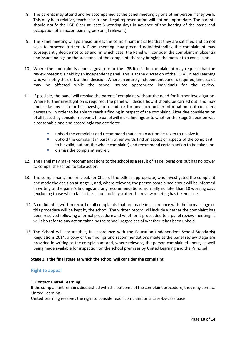- 8. The parents may attend and be accompanied at the panel meeting by one other person if they wish. This may be a relative, teacher or friend. Legal representation will not be appropriate. The parents should notify the LGB Clerk at least 3 working days in advance of the hearing of the name and occupation of an accompanying person (if relevant).
- 9. The Panel meeting will go ahead unless the complainant indicates that they are satisfied and do not wish to proceed further. A Panel meeting may proceed notwithstanding the complainant may subsequently decide not to attend, in which case, the Panel will consider the complaint in absentia and issue findings on the substance of the complaint, thereby bringing the matter to a conclusion.
- 10. Where the complaint is about a governor or the LGB itself, the complainant may request that the review meeting is held by an independent panel. This is at the discretion of the LGB/ United Learning who will notify the clerk of their decision. Where an entirely independent panel is required, timescales may be affected while the school source appropriate individuals for the review.
- 11. If possible, the panel will resolve the parents' complaint without the need for further investigation. Where further investigation is required, the panel will decide how it should be carried out, and may undertake any such further investigation, and ask for any such further information as it considers necessary, in order to be able to reach a finding in respect of the complaint. After due consideration of all facts they consider relevant, the panel will make findings as to whether the Stage 2 decision was a reasonable one and accordingly can decide to:
	- uphold the complaint and recommend that certain action be taken to resolve it;
	- **•** uphold the complaint in part (in other words find an aspect or aspects of the complaint to be valid, but not the whole complaint) and recommend certain action to be taken, or
	- dismiss the complaint entirely.
- 12. The Panel may make recommendations to the school as a result of its deliberations but has no power to compel the school to take action.
- 13. The complainant, the Principal, (or Chair of the LGB as appropriate) who investigated the complaint and made the decision at stage 1, and, where relevant, the person complained about will be informed in writing of the panel's findings and any recommendations, normally no later than 10 working days (excluding those which fall in the school holidays) after the review meeting has taken place.
- 14. A confidential written record of all complaints that are made in accordance with the formal stage of this procedure will be kept by the school. The written record will include whether the complaint has been resolved following a formal procedure and whether it proceeded to a panel review meeting. It will also refer to any action taken by the school, regardless of whether it has been upheld.
- 15. The School will ensure that, in accordance with the Education (Independent School Standards) Regulations 2014, a copy of the findings and recommendations made at the panel review stage are provided in writing to the complainant and, where relevant, the person complained about, as well being made available for inspection on the school premises by United Learning and the Principal.

## **Stage 3 is the final stage at which the school will consider the complaint.**

#### **Right to appeal**

#### 1. **Contact United Learning.**

If the complainant remains dissatisfied with the outcome of the complaint procedure, they may contact United Learning.

United Learning reserves the right to consider each complaint on a case-by-case basis.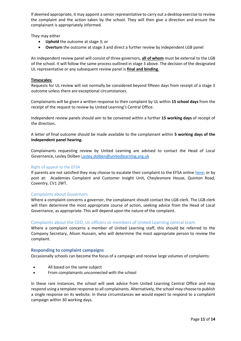If deemed appropriate, it may appoint a senior representative to carry out a desktop exercise to review the complaint and the action taken by the school. They will then give a direction and ensure the complainant is appropriately informed.

They may either

- **Uphold** the outcome at stage 3; or
- **Overturn** the outcome at stage 3 and direct a further review by independent LGB panel

An independent review panel will consist of three governors, **all of whom** must be external to the LGB of the school. It will follow the same process outlined in stage 3 above. The decision of the designated UL representative or any subsequent review panel is **final and binding**.

#### **Timescales:**

Requests for UL review will not normally be considered beyond fifteen days from receipt of a stage 3 outcome unless there are exceptional circumstances.

Complainants will be given a written response to their complaint by UL within **15 school days** from the receipt of the request to review by United Learning's Central Office.

Independent review panels should aim to be convened within a further **15 working days** of receipt of the direction**.** 

A letter of final outcome should be made available to the complainant within **5 working days of the Independent panel hearing.**

Complainants requesting review by United Learning are advised to contact the Head of Local Governance, Lesley Dolbe[n Lesley.dolben@unitedlearning.org.](mailto:Lesley.dolben@unitedlearning.org)uk

#### Right of appeal to the EFSA

If parents are not satisfied they may choose to escalate their complaint to the EFSA online [here;](file:///C:/Users/sarah.smith/AppData/Local/Microsoft/Windows/INetCache/Content.Outlook/QTJNK97Y/A%20confidential%20written%20record%20of%20all%20complaints%20that%20are%20made%20in%20accordance%20with%20the%20formal%20stage%20of%20this%20procedure%20will%20be%20kept%20by%20the%20school.%20The%20written%20record%20will%20include%20whether%20the%20complaint%20has%20been%20resolved%20following%20a%20formal%20procedure%20and%20whether%20it%20proceeded%20to%20a%20panel%20review%20meeting.%20It%20will%20also%20refer%20to%20any%20action%20taken%20by%20the%20school,%20regardless%20of%20whether%20it%20has%20been%20upheld.) or by post at: Academies Complaint and Customer Insight Unit, Cheylesmore House, Quinton Road, Coventry, CV1 2WT.

#### Complaints about Governors

Where a complaint concerns a governor, the complainant should contact the LGB clerk. The LGB clerk will then determine the most appropriate course of action, seeking advice from the Head of Local Governance, as appropriate. This will depend upon the nature of the complaint.

#### Complaints about the CEO, UL officers or members of United Learning central team

Where a complaint concerns a member of United Learning staff, this should be referred to the Company Secretary, Alison Hussain, who will determine the most appropriate person to review the complaint.

#### <span id="page-10-0"></span>**Responding to complaint campaigns**

Occasionally schools can become the focus of a campaign and receive large volumes of complaints:

- All based on the same subject
- From complainants unconnected with the school

In these rare instances, the school will seek advice from United Learning Central Office and may respond using a template response to all complainants. Alternatively, the school may choose to publish a single response on its website. In these circumstances we would expect to respond to a complaint campaign within 30 working days.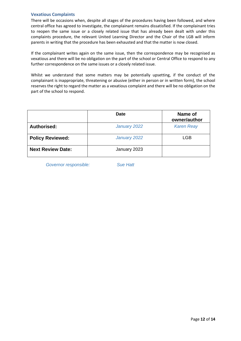#### <span id="page-11-0"></span>**Vexatious Complaints**

There will be occasions when, despite all stages of the procedures having been followed, and where central office has agreed to investigate, the complainant remains dissatisfied. If the complainant tries to reopen the same issue or a closely related issue that has already been dealt with under this complaints procedure, the relevant United Learning Director and the Chair of the LGB will inform parents in writing that the procedure has been exhausted and that the matter is now closed.

If the complainant writes again on the same issue, then the correspondence may be recognised as vexatious and there will be no obligation on the part of the school or Central Office to respond to any further correspondence on the same issues or a closely related issue.

Whilst we understand that some matters may be potentially upsetting, if the conduct of the complainant is inappropriate, threatening or abusive (either in person or in written form), the school reserves the right to regard the matter as a vexatious complaint and there will be no obligation on the part of the school to respond.

|                          | <b>Date</b>  | Name of<br>owner/author |
|--------------------------|--------------|-------------------------|
| Authorised:              | January 2022 | <b>Karen Reay</b>       |
| <b>Policy Reviewed:</b>  | January 2022 | LGB                     |
| <b>Next Review Date:</b> | January 2023 |                         |

*Governor responsible: Sue Hatt*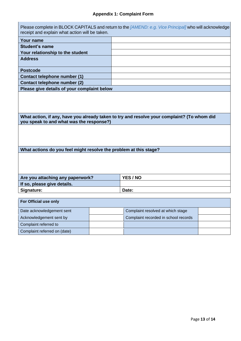| Please complete in BLOCK CAPITALS and return to the [AMEND: e.g. Vice Principal] who will acknowledge<br>receipt and explain what action will be taken. |  |                                      |  |  |  |
|---------------------------------------------------------------------------------------------------------------------------------------------------------|--|--------------------------------------|--|--|--|
| <b>Your name</b>                                                                                                                                        |  |                                      |  |  |  |
| <b>Student's name</b>                                                                                                                                   |  |                                      |  |  |  |
| Your relationship to the student                                                                                                                        |  |                                      |  |  |  |
| <b>Address</b>                                                                                                                                          |  |                                      |  |  |  |
| <b>Postcode</b>                                                                                                                                         |  |                                      |  |  |  |
| <b>Contact telephone number (1)</b>                                                                                                                     |  |                                      |  |  |  |
| Contact telephone number (2)                                                                                                                            |  |                                      |  |  |  |
| Please give details of your complaint below                                                                                                             |  |                                      |  |  |  |
|                                                                                                                                                         |  |                                      |  |  |  |
| What action, if any, have you already taken to try and resolve your complaint? (To whom did<br>you speak to and what was the response?)                 |  |                                      |  |  |  |
|                                                                                                                                                         |  |                                      |  |  |  |
| What actions do you feel might resolve the problem at this stage?                                                                                       |  |                                      |  |  |  |
|                                                                                                                                                         |  |                                      |  |  |  |
| Are you attaching any paperwork?                                                                                                                        |  | YES / NO                             |  |  |  |
| If so, please give details.                                                                                                                             |  |                                      |  |  |  |
| Signature:                                                                                                                                              |  | Date:                                |  |  |  |
| For Official use only                                                                                                                                   |  |                                      |  |  |  |
| Date acknowledgement sent                                                                                                                               |  | Complaint resolved at which stage    |  |  |  |
| Acknowledgement sent by                                                                                                                                 |  | Complaint recorded in school records |  |  |  |
| Complaint referred to                                                                                                                                   |  |                                      |  |  |  |

Complaint referred on (date)